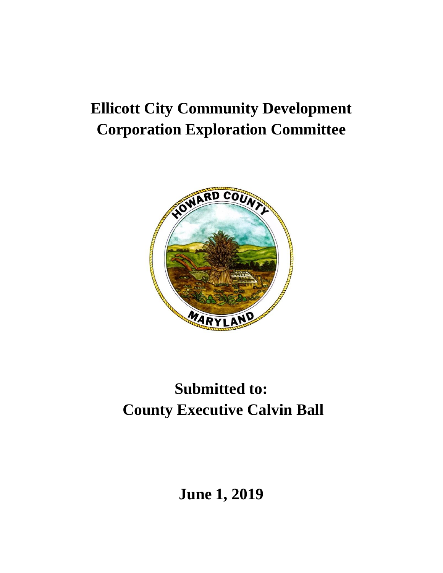# **Ellicott City Community Development Corporation Exploration Committee**



# **Submitted to: County Executive Calvin Ball**

**June 1, 2019**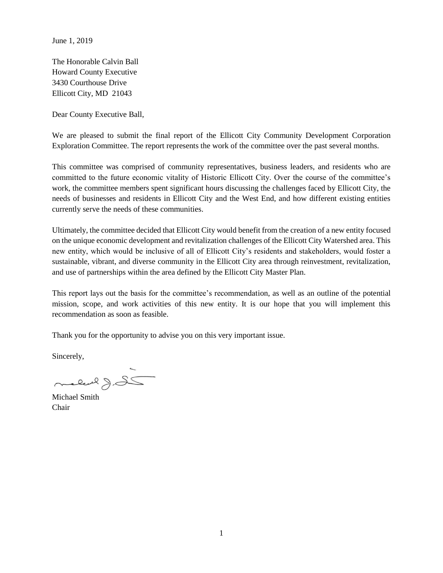June 1, 2019

The Honorable Calvin Ball Howard County Executive 3430 Courthouse Drive Ellicott City, MD 21043

Dear County Executive Ball,

We are pleased to submit the final report of the Ellicott City Community Development Corporation Exploration Committee. The report represents the work of the committee over the past several months.

This committee was comprised of community representatives, business leaders, and residents who are committed to the future economic vitality of Historic Ellicott City. Over the course of the committee's work, the committee members spent significant hours discussing the challenges faced by Ellicott City, the needs of businesses and residents in Ellicott City and the West End, and how different existing entities currently serve the needs of these communities.

Ultimately, the committee decided that Ellicott City would benefit from the creation of a new entity focused on the unique economic development and revitalization challenges of the Ellicott City Watershed area. This new entity, which would be inclusive of all of Ellicott City's residents and stakeholders, would foster a sustainable, vibrant, and diverse community in the Ellicott City area through reinvestment, revitalization, and use of partnerships within the area defined by the Ellicott City Master Plan.

This report lays out the basis for the committee's recommendation, as well as an outline of the potential mission, scope, and work activities of this new entity. It is our hope that you will implement this recommendation as soon as feasible.

Thank you for the opportunity to advise you on this very important issue.

Sincerely,

- 26. (e level

Michael Smith Chair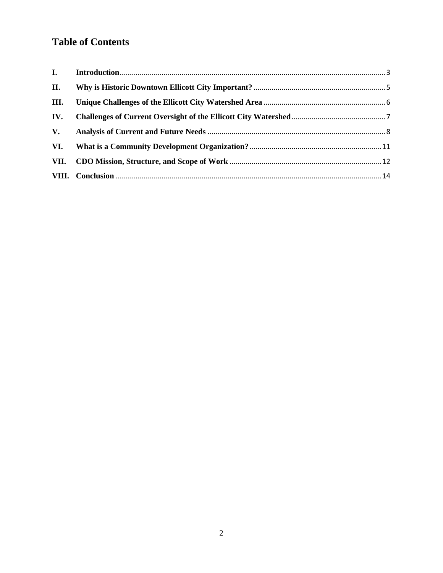## **Table of Contents**

| II.  |  |
|------|--|
| III. |  |
| IV.  |  |
| V.   |  |
| VI.  |  |
| VII. |  |
|      |  |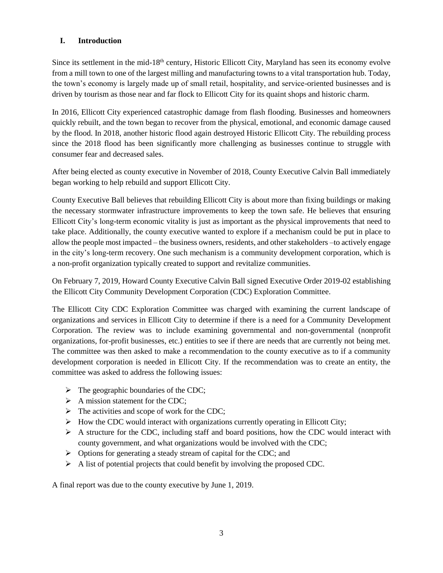#### <span id="page-3-0"></span>**I. Introduction**

Since its settlement in the mid-18<sup>th</sup> century, Historic Ellicott City, Maryland has seen its economy evolve from a mill town to one of the largest milling and manufacturing towns to a vital transportation hub. Today, the town's economy is largely made up of small retail, hospitality, and service-oriented businesses and is driven by tourism as those near and far flock to Ellicott City for its quaint shops and historic charm.

In 2016, Ellicott City experienced catastrophic damage from flash flooding. Businesses and homeowners quickly rebuilt, and the town began to recover from the physical, emotional, and economic damage caused by the flood. In 2018, another historic flood again destroyed Historic Ellicott City. The rebuilding process since the 2018 flood has been significantly more challenging as businesses continue to struggle with consumer fear and decreased sales.

After being elected as county executive in November of 2018, County Executive Calvin Ball immediately began working to help rebuild and support Ellicott City.

County Executive Ball believes that rebuilding Ellicott City is about more than fixing buildings or making the necessary stormwater infrastructure improvements to keep the town safe. He believes that ensuring Ellicott City's long-term economic vitality is just as important as the physical improvements that need to take place. Additionally, the county executive wanted to explore if a mechanism could be put in place to allow the people most impacted – the business owners, residents, and other stakeholders –to actively engage in the city's long-term recovery. One such mechanism is a community development corporation, which is a non-profit organization typically created to support and revitalize communities.

On February 7, 2019, Howard County Executive Calvin Ball signed Executive Order 2019-02 establishing the Ellicott City Community Development Corporation (CDC) Exploration Committee.

The Ellicott City CDC Exploration Committee was charged with examining the current landscape of organizations and services in Ellicott City to determine if there is a need for a Community Development Corporation. The review was to include examining governmental and non-governmental (nonprofit organizations, for-profit businesses, etc.) entities to see if there are needs that are currently not being met. The committee was then asked to make a recommendation to the county executive as to if a community development corporation is needed in Ellicott City. If the recommendation was to create an entity, the committee was asked to address the following issues:

- $\triangleright$  The geographic boundaries of the CDC;
- $\triangleright$  A mission statement for the CDC;
- $\triangleright$  The activities and scope of work for the CDC;
- $\triangleright$  How the CDC would interact with organizations currently operating in Ellicott City;
- $\triangleright$  A structure for the CDC, including staff and board positions, how the CDC would interact with county government, and what organizations would be involved with the CDC;
- ➢ Options for generating a steady stream of capital for the CDC; and
- $\triangleright$  A list of potential projects that could benefit by involving the proposed CDC.

A final report was due to the county executive by June 1, 2019.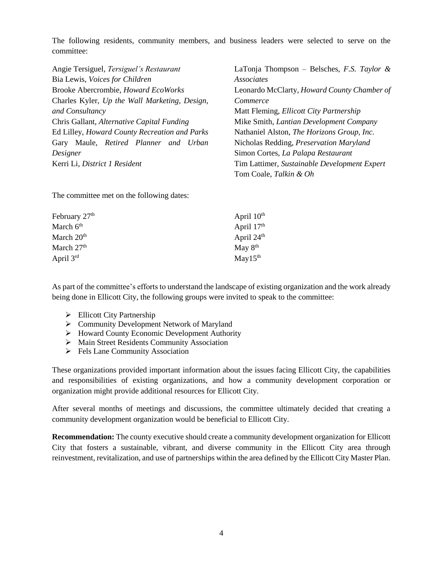The following residents, community members, and business leaders were selected to serve on the committee:

| Angie Tersiguel, Tersiguel's Restaurant       | LaTonja Thompson – Belsches, F.S. Taylor &     |  |  |  |  |  |
|-----------------------------------------------|------------------------------------------------|--|--|--|--|--|
| Bia Lewis, Voices for Children                | Associates                                     |  |  |  |  |  |
| Brooke Abercrombie, Howard EcoWorks           | Leonardo McClarty, Howard County Chamber of    |  |  |  |  |  |
| Charles Kyler, Up the Wall Marketing, Design, | Commerce                                       |  |  |  |  |  |
| and Consultancy                               | Matt Fleming, <i>Ellicott City Partnership</i> |  |  |  |  |  |
| Chris Gallant, Alternative Capital Funding    | Mike Smith, Lantian Development Company        |  |  |  |  |  |
| Ed Lilley, Howard County Recreation and Parks | Nathaniel Alston, The Horizons Group, Inc.     |  |  |  |  |  |
| Gary Maule, Retired Planner and Urban         | Nicholas Redding, Preservation Maryland        |  |  |  |  |  |
| Designer                                      | Simon Cortes, La Palapa Restaurant             |  |  |  |  |  |
| Kerri Li, District 1 Resident                 | Tim Lattimer, Sustainable Development Expert   |  |  |  |  |  |
|                                               |                                                |  |  |  |  |  |

Tom Coale, *Talkin & Oh*

The committee met on the following dates:

| February 27 <sup>th</sup> | April $10th$         |
|---------------------------|----------------------|
| March 6 <sup>th</sup>     | April $17th$         |
| March 20 <sup>th</sup>    | April $24th$         |
| March 27 <sup>th</sup>    | May $8th$            |
| April 3 <sup>rd</sup>     | May 15 <sup>th</sup> |

As part of the committee's efforts to understand the landscape of existing organization and the work already being done in Ellicott City, the following groups were invited to speak to the committee:

- ➢ Ellicott City Partnership
- ➢ Community Development Network of Maryland
- ➢ Howard County Economic Development Authority
- ➢ Main Street Residents Community Association
- ➢ Fels Lane Community Association

These organizations provided important information about the issues facing Ellicott City, the capabilities and responsibilities of existing organizations, and how a community development corporation or organization might provide additional resources for Ellicott City.

After several months of meetings and discussions, the committee ultimately decided that creating a community development organization would be beneficial to Ellicott City.

**Recommendation:** The county executive should create a community development organization for Ellicott City that fosters a sustainable, vibrant, and diverse community in the Ellicott City area through reinvestment, revitalization, and use of partnerships within the area defined by the Ellicott City Master Plan.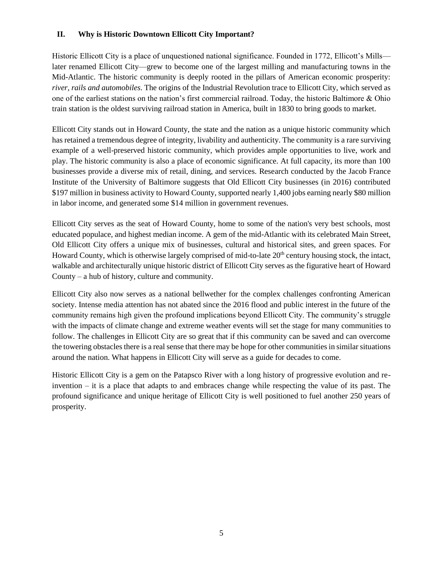#### <span id="page-5-0"></span>**II. Why is Historic Downtown Ellicott City Important?**

Historic Ellicott City is a place of unquestioned national significance. Founded in 1772, Ellicott's Mills later renamed Ellicott City—grew to become one of the largest milling and manufacturing towns in the Mid-Atlantic. The historic community is deeply rooted in the pillars of American economic prosperity: *river, rails and automobiles*. The origins of the Industrial Revolution trace to Ellicott City, which served as one of the earliest stations on the nation's first commercial railroad. Today, the historic Baltimore & Ohio train station is the oldest surviving railroad station in America, built in 1830 to bring goods to market.

Ellicott City stands out in Howard County, the state and the nation as a unique historic community which has retained a tremendous degree of integrity, livability and authenticity. The community is a rare surviving example of a well-preserved historic community, which provides ample opportunities to live, work and play. The historic community is also a place of economic significance. At full capacity, its more than 100 businesses provide a diverse mix of retail, dining, and services. Research conducted by the Jacob France Institute of the University of Baltimore suggests that Old Ellicott City businesses (in 2016) contributed \$197 million in business activity to Howard County, supported nearly 1,400 jobs earning nearly \$80 million in labor income, and generated some \$14 million in government revenues.

Ellicott City serves as the seat of Howard County, home to some of the nation's very best schools, most educated populace, and highest median income. A gem of the mid-Atlantic with its celebrated Main Street, Old Ellicott City offers a unique mix of businesses, cultural and historical sites, and green spaces. For Howard County, which is otherwise largely comprised of mid-to-late  $20<sup>th</sup>$  century housing stock, the intact, walkable and architecturally unique historic district of Ellicott City serves as the figurative heart of Howard County – a hub of history, culture and community.

Ellicott City also now serves as a national bellwether for the complex challenges confronting American society. Intense media attention has not abated since the 2016 flood and public interest in the future of the community remains high given the profound implications beyond Ellicott City. The community's struggle with the impacts of climate change and extreme weather events will set the stage for many communities to follow. The challenges in Ellicott City are so great that if this community can be saved and can overcome the towering obstacles there is a real sense that there may be hope for other communities in similar situations around the nation. What happens in Ellicott City will serve as a guide for decades to come.

Historic Ellicott City is a gem on the Patapsco River with a long history of progressive evolution and reinvention – it is a place that adapts to and embraces change while respecting the value of its past. The profound significance and unique heritage of Ellicott City is well positioned to fuel another 250 years of prosperity.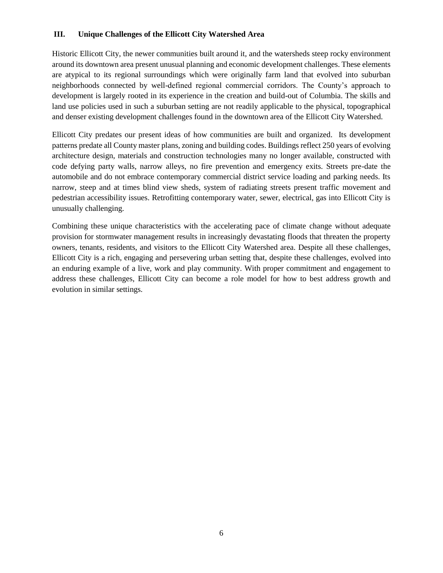#### <span id="page-6-0"></span>**III. Unique Challenges of the Ellicott City Watershed Area**

Historic Ellicott City, the newer communities built around it, and the watersheds steep rocky environment around its downtown area present unusual planning and economic development challenges. These elements are atypical to its regional surroundings which were originally farm land that evolved into suburban neighborhoods connected by well-defined regional commercial corridors. The County's approach to development is largely rooted in its experience in the creation and build-out of Columbia. The skills and land use policies used in such a suburban setting are not readily applicable to the physical, topographical and denser existing development challenges found in the downtown area of the Ellicott City Watershed.

Ellicott City predates our present ideas of how communities are built and organized. Its development patterns predate all County master plans, zoning and building codes. Buildings reflect 250 years of evolving architecture design, materials and construction technologies many no longer available, constructed with code defying party walls, narrow alleys, no fire prevention and emergency exits. Streets pre-date the automobile and do not embrace contemporary commercial district service loading and parking needs. Its narrow, steep and at times blind view sheds, system of radiating streets present traffic movement and pedestrian accessibility issues. Retrofitting contemporary water, sewer, electrical, gas into Ellicott City is unusually challenging.

Combining these unique characteristics with the accelerating pace of climate change without adequate provision for stormwater management results in increasingly devastating floods that threaten the property owners, tenants, residents, and visitors to the Ellicott City Watershed area. Despite all these challenges, Ellicott City is a rich, engaging and persevering urban setting that, despite these challenges, evolved into an enduring example of a live, work and play community. With proper commitment and engagement to address these challenges, Ellicott City can become a role model for how to best address growth and evolution in similar settings.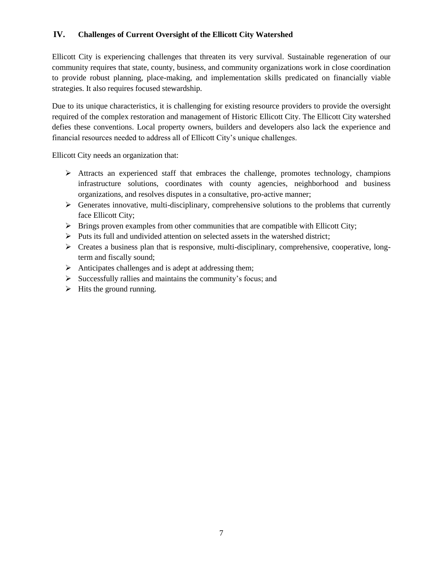#### <span id="page-7-0"></span>**IV. Challenges of Current Oversight of the Ellicott City Watershed**

Ellicott City is experiencing challenges that threaten its very survival. Sustainable regeneration of our community requires that state, county, business, and community organizations work in close coordination to provide robust planning, place-making, and implementation skills predicated on financially viable strategies. It also requires focused stewardship.

Due to its unique characteristics, it is challenging for existing resource providers to provide the oversight required of the complex restoration and management of Historic Ellicott City. The Ellicott City watershed defies these conventions. Local property owners, builders and developers also lack the experience and financial resources needed to address all of Ellicott City's unique challenges.

Ellicott City needs an organization that:

- ➢ Attracts an experienced staff that embraces the challenge, promotes technology, champions infrastructure solutions, coordinates with county agencies, neighborhood and business organizations, and resolves disputes in a consultative, pro-active manner;
- $\triangleright$  Generates innovative, multi-disciplinary, comprehensive solutions to the problems that currently face Ellicott City;
- $\triangleright$  Brings proven examples from other communities that are compatible with Ellicott City;
- ➢ Puts its full and undivided attention on selected assets in the watershed district;
- ➢ Creates a business plan that is responsive, multi-disciplinary, comprehensive, cooperative, longterm and fiscally sound;
- ➢ Anticipates challenges and is adept at addressing them;
- ➢ Successfully rallies and maintains the community's focus; and
- $\triangleright$  Hits the ground running.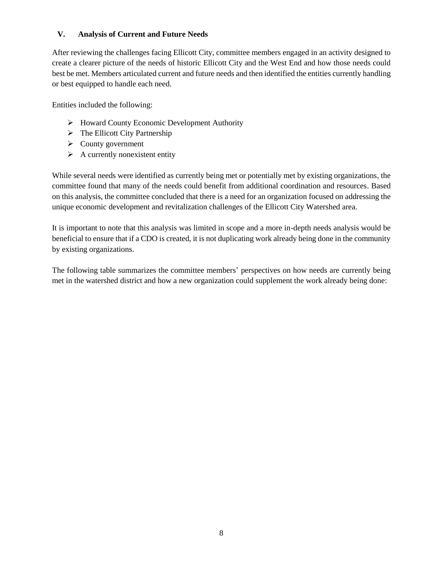#### <span id="page-8-0"></span>**V. Analysis of Current and Future Needs**

After reviewing the challenges facing Ellicott City, committee members engaged in an activity designed to create a clearer picture of the needs of historic Ellicott City and the West End and how those needs could best be met. Members articulated current and future needs and then identified the entities currently handling or best equipped to handle each need.

Entities included the following:

- ➢ Howard County Economic Development Authority
- $\triangleright$  The Ellicott City Partnership
- ➢ County government
- $\triangleright$  A currently nonexistent entity

While several needs were identified as currently being met or potentially met by existing organizations, the committee found that many of the needs could benefit from additional coordination and resources. Based on this analysis, the committee concluded that there is a need for an organization focused on addressing the unique economic development and revitalization challenges of the Ellicott City Watershed area.

It is important to note that this analysis was limited in scope and a more in-depth needs analysis would be beneficial to ensure that if a CDO is created, it is not duplicating work already being done in the community by existing organizations.

The following table summarizes the committee members' perspectives on how needs are currently being met in the watershed district and how a new organization could supplement the work already being done: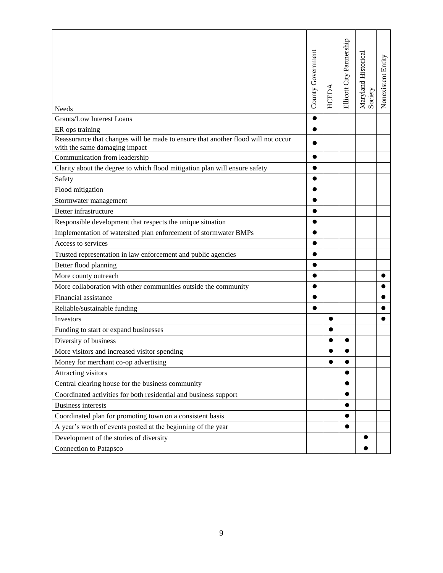| Needs                                                                                                              | County Government | HCEDA     | Ellicott City Partnership | Maryland Historical<br>Society | Nonexistent Entity |
|--------------------------------------------------------------------------------------------------------------------|-------------------|-----------|---------------------------|--------------------------------|--------------------|
| Grants/Low Interest Loans                                                                                          | $\bullet$         |           |                           |                                |                    |
| ER ops training                                                                                                    | $\bullet$         |           |                           |                                |                    |
| Reassurance that changes will be made to ensure that another flood will not occur<br>with the same damaging impact | ●                 |           |                           |                                |                    |
| Communication from leadership                                                                                      |                   |           |                           |                                |                    |
| Clarity about the degree to which flood mitigation plan will ensure safety                                         | ●                 |           |                           |                                |                    |
| Safety                                                                                                             |                   |           |                           |                                |                    |
| Flood mitigation                                                                                                   | $\bullet$         |           |                           |                                |                    |
| Stormwater management                                                                                              |                   |           |                           |                                |                    |
| Better infrastructure                                                                                              | $\bullet$         |           |                           |                                |                    |
| Responsible development that respects the unique situation                                                         |                   |           |                           |                                |                    |
| Implementation of watershed plan enforcement of stormwater BMPs                                                    | $\bullet$         |           |                           |                                |                    |
| Access to services                                                                                                 |                   |           |                           |                                |                    |
| Trusted representation in law enforcement and public agencies                                                      | $\bullet$         |           |                           |                                |                    |
| Better flood planning                                                                                              |                   |           |                           |                                |                    |
| More county outreach                                                                                               | $\bullet$         |           |                           |                                |                    |
| More collaboration with other communities outside the community                                                    |                   |           |                           |                                |                    |
| Financial assistance                                                                                               | $\bullet$         |           |                           |                                |                    |
| Reliable/sustainable funding                                                                                       | $\bullet$         |           |                           |                                |                    |
| Investors                                                                                                          |                   |           |                           |                                |                    |
| Funding to start or expand businesses                                                                              |                   |           |                           |                                |                    |
| Diversity of business                                                                                              |                   |           |                           |                                |                    |
| More visitors and increased visitor spending                                                                       |                   |           |                           |                                |                    |
| Money for merchant co-op advertising                                                                               |                   | $\bullet$ |                           |                                |                    |
| Attracting visitors                                                                                                |                   |           |                           |                                |                    |
| Central clearing house for the business community                                                                  |                   |           |                           |                                |                    |
| Coordinated activities for both residential and business support                                                   |                   |           |                           |                                |                    |
| <b>Business interests</b>                                                                                          |                   |           |                           |                                |                    |
| Coordinated plan for promoting town on a consistent basis                                                          |                   |           |                           |                                |                    |
| A year's worth of events posted at the beginning of the year                                                       |                   |           |                           |                                |                    |
| Development of the stories of diversity                                                                            |                   |           |                           |                                |                    |
| Connection to Patapsco                                                                                             |                   |           |                           |                                |                    |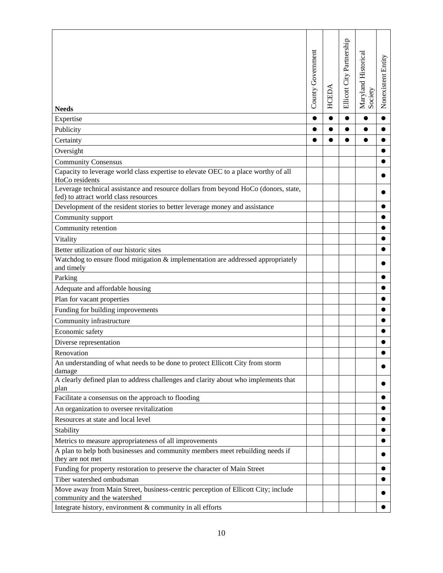| <b>Needs</b>                                                                                                         | County Government | HCEDA     | Ellicott City Partnership | Maryland Historical<br>Society | Nonexistent Entity |
|----------------------------------------------------------------------------------------------------------------------|-------------------|-----------|---------------------------|--------------------------------|--------------------|
| Expertise                                                                                                            | $\bullet$         | $\bullet$ | $\bullet$                 | $\bullet$                      | $\bullet$          |
| Publicity                                                                                                            |                   | $\bullet$ |                           |                                |                    |
| Certainty                                                                                                            |                   |           |                           | 0                              |                    |
| Oversight                                                                                                            |                   |           |                           |                                |                    |
| <b>Community Consensus</b>                                                                                           |                   |           |                           |                                |                    |
| Capacity to leverage world class expertise to elevate OEC to a place worthy of all<br>HoCo residents                 |                   |           |                           |                                |                    |
| Leverage technical assistance and resource dollars from beyond HoCo (donors, state,                                  |                   |           |                           |                                |                    |
| fed) to attract world class resources<br>Development of the resident stories to better leverage money and assistance |                   |           |                           |                                |                    |
| Community support                                                                                                    |                   |           |                           |                                |                    |
| Community retention                                                                                                  |                   |           |                           |                                |                    |
|                                                                                                                      |                   |           |                           |                                |                    |
| Vitality<br>Better utilization of our historic sites                                                                 |                   |           |                           |                                |                    |
| Watchdog to ensure flood mitigation & implementation are addressed appropriately                                     |                   |           |                           |                                |                    |
| and timely                                                                                                           |                   |           |                           |                                |                    |
| Parking                                                                                                              |                   |           |                           |                                |                    |
| Adequate and affordable housing                                                                                      |                   |           |                           |                                |                    |
| Plan for vacant properties                                                                                           |                   |           |                           |                                |                    |
| Funding for building improvements                                                                                    |                   |           |                           |                                |                    |
| Community infrastructure                                                                                             |                   |           |                           |                                |                    |
| Economic safety                                                                                                      |                   |           |                           |                                |                    |
| Diverse representation                                                                                               |                   |           |                           |                                |                    |
| Renovation                                                                                                           |                   |           |                           |                                |                    |
| An understanding of what needs to be done to protect Ellicott City from storm<br>damage                              |                   |           |                           |                                |                    |
| A clearly defined plan to address challenges and clarity about who implements that<br>plan                           |                   |           |                           |                                |                    |
| Facilitate a consensus on the approach to flooding                                                                   |                   |           |                           |                                |                    |
| An organization to oversee revitalization                                                                            |                   |           |                           |                                |                    |
| Resources at state and local level                                                                                   |                   |           |                           |                                |                    |
| Stability                                                                                                            |                   |           |                           |                                |                    |
| Metrics to measure appropriateness of all improvements                                                               |                   |           |                           |                                |                    |
| A plan to help both businesses and community members meet rebuilding needs if<br>they are not met                    |                   |           |                           |                                |                    |
| Funding for property restoration to preserve the character of Main Street                                            |                   |           |                           |                                |                    |
| Tiber watershed ombudsman                                                                                            |                   |           |                           |                                |                    |
| Move away from Main Street, business-centric perception of Ellicott City; include<br>community and the watershed     |                   |           |                           |                                |                    |
| Integrate history, environment & community in all efforts                                                            |                   |           |                           |                                |                    |
|                                                                                                                      |                   |           |                           |                                |                    |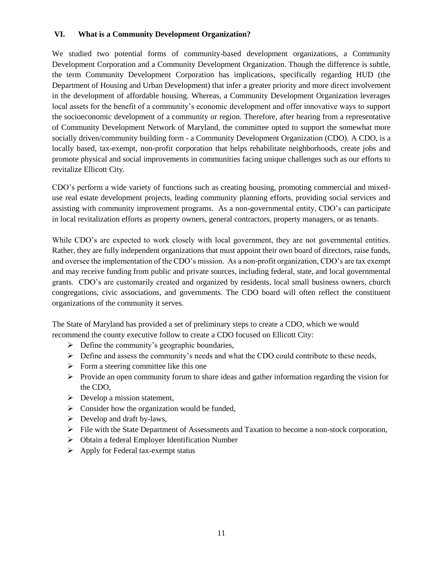#### <span id="page-11-0"></span>**VI. What is a Community Development Organization?**

We studied two potential forms of community-based development organizations, a Community Development Corporation and a Community Development Organization. Though the difference is subtle, the term Community Development Corporation has implications, specifically regarding HUD (the Department of Housing and Urban Development) that infer a greater priority and more direct involvement in the development of affordable housing. Whereas, a Community Development Organization leverages local assets for the benefit of a community's economic development and offer innovative ways to support the socioeconomic development of a community or region. Therefore, after hearing from a representative of Community Development Network of Maryland, the committee opted to support the somewhat more socially driven/community building form - a Community Development Organization (CDO). A CDO, is a locally based, tax-exempt, non-profit corporation that helps rehabilitate neighborhoods, create jobs and promote physical and social improvements in communities facing unique challenges such as our efforts to revitalize Ellicott City.

CDO's perform a wide variety of functions such as creating housing, promoting commercial and mixeduse real estate development projects, leading community planning efforts, providing social services and assisting with community improvement programs. As a non-governmental entity, CDO's can participate in local revitalization efforts as property owners, general contractors, property managers, or as tenants.

While CDO's are expected to work closely with local government, they are not governmental entities. Rather, they are fully independent organizations that must appoint their own board of directors, raise funds, and oversee the implementation of the CDO's mission. As a non-profit organization, CDO's are tax exempt and may receive funding from public and private sources, including federal, state, and local governmental grants. CDO's are customarily created and organized by residents, local small business owners, church congregations, civic associations, and governments. The CDO board will often reflect the constituent organizations of the community it serves.

The State of Maryland has provided a set of preliminary steps to create a CDO, which we would recommend the county executive follow to create a CDO focused on Ellicott City:

- $\triangleright$  Define the community's geographic boundaries,
- $\triangleright$  Define and assess the community's needs and what the CDO could contribute to these needs,
- $\triangleright$  Form a steering committee like this one
- $\triangleright$  Provide an open community forum to share ideas and gather information regarding the vision for the CDO,
- $\triangleright$  Develop a mission statement,
- $\triangleright$  Consider how the organization would be funded,
- $\triangleright$  Develop and draft by-laws,
- ➢ File with the State Department of Assessments and Taxation to become a non-stock corporation,
- ➢ Obtain a federal Employer Identification Number
- ➢ Apply for Federal tax-exempt status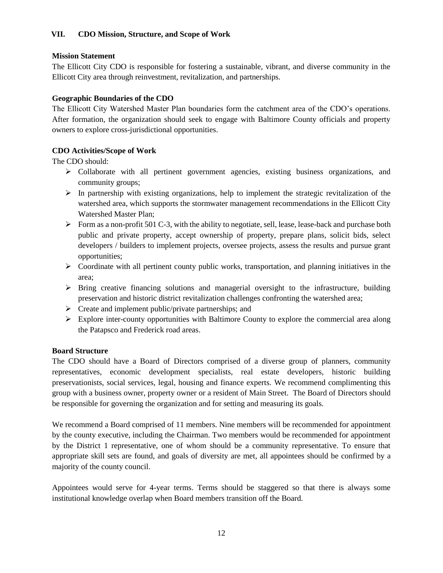#### <span id="page-12-0"></span>**Mission Statement**

The Ellicott City CDO is responsible for fostering a sustainable, vibrant, and diverse community in the Ellicott City area through reinvestment, revitalization, and partnerships.

#### **Geographic Boundaries of the CDO**

The Ellicott City Watershed Master Plan boundaries form the catchment area of the CDO's operations. After formation, the organization should seek to engage with Baltimore County officials and property owners to explore cross-jurisdictional opportunities.

### **CDO Activities/Scope of Work**

The CDO should:

- ➢ Collaborate with all pertinent government agencies, existing business organizations, and community groups;
- $\triangleright$  In partnership with existing organizations, help to implement the strategic revitalization of the watershed area, which supports the stormwater management recommendations in the Ellicott City Watershed Master Plan;
- $\triangleright$  Form as a non-profit 501 C-3, with the ability to negotiate, sell, lease, lease-back and purchase both public and private property, accept ownership of property, prepare plans, solicit bids, select developers / builders to implement projects, oversee projects, assess the results and pursue grant opportunities;
- ➢ Coordinate with all pertinent county public works, transportation, and planning initiatives in the area;
- $\triangleright$  Bring creative financing solutions and managerial oversight to the infrastructure, building preservation and historic district revitalization challenges confronting the watershed area;
- $\triangleright$  Create and implement public/private partnerships; and
- ➢ Explore inter-county opportunities with Baltimore County to explore the commercial area along the Patapsco and Frederick road areas.

#### **Board Structure**

The CDO should have a Board of Directors comprised of a diverse group of planners, community representatives, economic development specialists, real estate developers, historic building preservationists, social services, legal, housing and finance experts. We recommend complimenting this group with a business owner, property owner or a resident of Main Street. The Board of Directors should be responsible for governing the organization and for setting and measuring its goals.

We recommend a Board comprised of 11 members. Nine members will be recommended for appointment by the county executive, including the Chairman. Two members would be recommended for appointment by the District 1 representative, one of whom should be a community representative. To ensure that appropriate skill sets are found, and goals of diversity are met, all appointees should be confirmed by a majority of the county council.

Appointees would serve for 4-year terms. Terms should be staggered so that there is always some institutional knowledge overlap when Board members transition off the Board.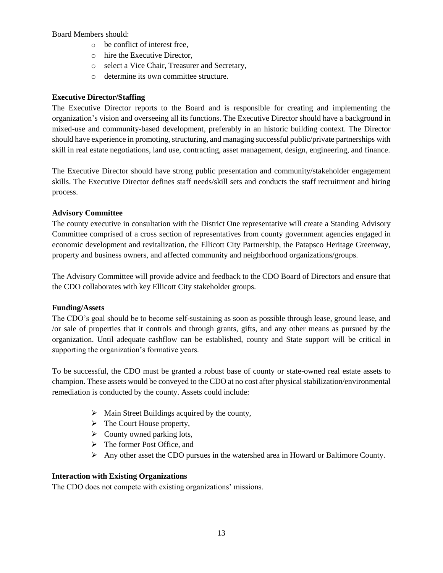Board Members should:

- o be conflict of interest free,
- o hire the Executive Director,
- o select a Vice Chair, Treasurer and Secretary,
- o determine its own committee structure.

#### **Executive Director/Staffing**

The Executive Director reports to the Board and is responsible for creating and implementing the organization's vision and overseeing all its functions. The Executive Director should have a background in mixed-use and community-based development, preferably in an historic building context. The Director should have experience in promoting, structuring, and managing successful public/private partnerships with skill in real estate negotiations, land use, contracting, asset management, design, engineering, and finance.

The Executive Director should have strong public presentation and community/stakeholder engagement skills. The Executive Director defines staff needs/skill sets and conducts the staff recruitment and hiring process.

#### **Advisory Committee**

The county executive in consultation with the District One representative will create a Standing Advisory Committee comprised of a cross section of representatives from county government agencies engaged in economic development and revitalization, the Ellicott City Partnership, the Patapsco Heritage Greenway, property and business owners, and affected community and neighborhood organizations/groups.

The Advisory Committee will provide advice and feedback to the CDO Board of Directors and ensure that the CDO collaborates with key Ellicott City stakeholder groups.

#### **Funding/Assets**

The CDO's goal should be to become self-sustaining as soon as possible through lease, ground lease, and /or sale of properties that it controls and through grants, gifts, and any other means as pursued by the organization. Until adequate cashflow can be established, county and State support will be critical in supporting the organization's formative years.

To be successful, the CDO must be granted a robust base of county or state-owned real estate assets to champion. These assets would be conveyed to the CDO at no cost after physical stabilization/environmental remediation is conducted by the county. Assets could include:

- ➢ Main Street Buildings acquired by the county,
- ➢ The Court House property,
- $\triangleright$  County owned parking lots,
- ➢ The former Post Office, and
- $\triangleright$  Any other asset the CDO pursues in the watershed area in Howard or Baltimore County.

#### **Interaction with Existing Organizations**

The CDO does not compete with existing organizations' missions.